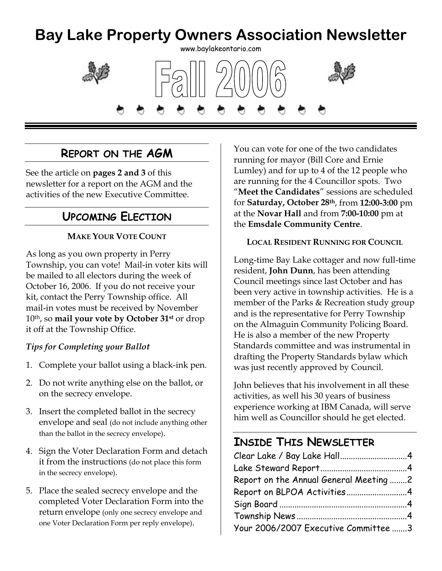### **Bay Lake Property Owners Association Newsletter**  www.baylakeontario.com





### **REPORT ON THE AGM**

See the article on **pages 2 and 3** of this newsletter for a report on the AGM and the activities of the new Executive Committee.

### **UPCOMING ELECTION**

### **MAKE YOUR VOTE COUNT**

As long as you own property in Perry Township, you can vote! Mail-in voter kits will be mailed to all electors during the week of October 16, 2006. If you do not receive your kit, contact the Perry Township office. All mail-in votes must be received by November 10th, so **mail your vote by October 31st** or drop it off at the Township Office.

#### *Tips for Completing your Ballot*

- 1. Complete your ballot using a black-ink pen.
- 2. Do not write anything else on the ballot, or on the secrecy envelope.
- 3. Insert the completed ballot in the secrecy envelope and seal (do not include anything other than the ballot in the secrecy envelope).
- 4. Sign the Voter Declaration Form and detach it from the instructions (do not place this form in the secrecy envelope).
- 5. Place the sealed secrecy envelope and the completed Voter Declaration Form into the return envelope (only one secrecy envelope and one Voter Declaration Form per reply envelope).

You can vote for one of the two candidates running for mayor (Bill Core and Ernie Lumley) and for up to 4 of the 12 people who are running for the 4 Councillor spots. Two "**Meet the Candidates**" sessions are scheduled for **Saturday, October 28th**, from **12:00-3:00** pm at the **Novar Hall** and from **7:00-10:00** pm at the **Emsdale Community Centre**.

#### **LOCAL RESIDENT RUNNING FOR COUNCIL**

Long-time Bay Lake cottager and now full-time resident, **John Dunn**, has been attending Council meetings since last October and has been very active in township activities. He is a member of the Parks & Recreation study group and is the representative for Perry Township on the Almaguin Community Policing Board. He is also a member of the new Property Standards committee and was instrumental in drafting the Property Standards bylaw which was just recently approved by Council.

John believes that his involvement in all these activities, as well his 30 years of business experience working at IBM Canada, will serve him well as Councillor should he get elected.

## **INSIDE THIS NEWSLETTER**

| Report on the Annual General Meeting 2 |  |
|----------------------------------------|--|
| Report on BLPOA Activities4            |  |
|                                        |  |
|                                        |  |
| Your 2006/2007 Executive Committee 3   |  |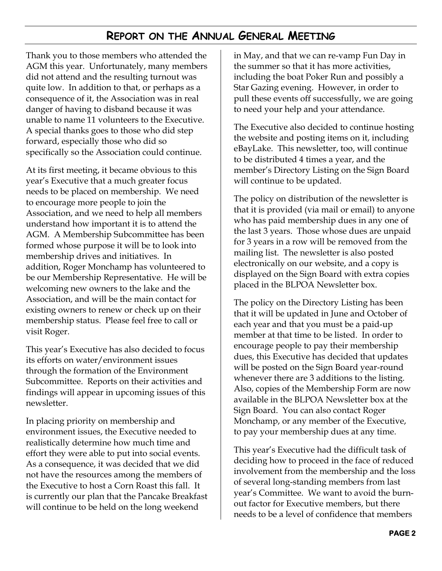### **REPORT ON THE ANNUAL GENERAL MEETING**

Thank you to those members who attended the AGM this year. Unfortunately, many members did not attend and the resulting turnout was quite low. In addition to that, or perhaps as a consequence of it, the Association was in real danger of having to disband because it was unable to name 11 volunteers to the Executive. A special thanks goes to those who did step forward, especially those who did so specifically so the Association could continue.

At its first meeting, it became obvious to this year's Executive that a much greater focus needs to be placed on membership. We need to encourage more people to join the Association, and we need to help all members understand how important it is to attend the AGM. A Membership Subcommittee has been formed whose purpose it will be to look into membership drives and initiatives. In addition, Roger Monchamp has volunteered to be our Membership Representative. He will be welcoming new owners to the lake and the Association, and will be the main contact for existing owners to renew or check up on their membership status. Please feel free to call or visit Roger.

This year's Executive has also decided to focus its efforts on water/environment issues through the formation of the Environment Subcommittee. Reports on their activities and findings will appear in upcoming issues of this newsletter.

In placing priority on membership and environment issues, the Executive needed to realistically determine how much time and effort they were able to put into social events. As a consequence, it was decided that we did not have the resources among the members of the Executive to host a Corn Roast this fall. It is currently our plan that the Pancake Breakfast will continue to be held on the long weekend

in May, and that we can re-vamp Fun Day in the summer so that it has more activities, including the boat Poker Run and possibly a Star Gazing evening. However, in order to pull these events off successfully, we are going to need your help and your attendance.

The Executive also decided to continue hosting the website and posting items on it, including eBayLake. This newsletter, too, will continue to be distributed 4 times a year, and the member's Directory Listing on the Sign Board will continue to be updated.

The policy on distribution of the newsletter is that it is provided (via mail or email) to anyone who has paid membership dues in any one of the last 3 years. Those whose dues are unpaid for 3 years in a row will be removed from the mailing list. The newsletter is also posted electronically on our website, and a copy is displayed on the Sign Board with extra copies placed in the BLPOA Newsletter box.

The policy on the Directory Listing has been that it will be updated in June and October of each year and that you must be a paid-up member at that time to be listed. In order to encourage people to pay their membership dues, this Executive has decided that updates will be posted on the Sign Board year-round whenever there are 3 additions to the listing. Also, copies of the Membership Form are now available in the BLPOA Newsletter box at the Sign Board. You can also contact Roger Monchamp, or any member of the Executive, to pay your membership dues at any time.

This year's Executive had the difficult task of deciding how to proceed in the face of reduced involvement from the membership and the loss of several long-standing members from last year's Committee. We want to avoid the burnout factor for Executive members, but there needs to be a level of confidence that members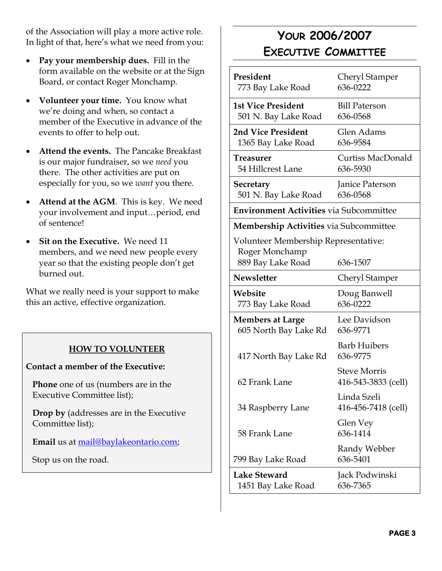of the Association will play a more active role. In light of that, here's what we need from you:

- **Pay your membership dues.** Fill in the form available on the website or at the Sign Board, or contact Roger Monchamp.
- **Volunteer your time.** You know what we're doing and when, so contact a member of the Executive in advance of the events to offer to help out.
- **Attend the events.** The Pancake Breakfast is our major fundraiser, so we *need* you there. The other activities are put on especially for you, so we *want* you there.
- **Attend at the AGM**. This is key. We need your involvement and input…period, end of sentence!
- **Sit on the Executive.** We need 11 members, and we need new people every year so that the existing people don't get burned out.

What we really need is your support to make this an active, effective organization.

### **HOW TO VOLUNTEER**

#### **Contact a member of the Executive:**

**Phone** one of us (numbers are in the Executive Committee list);

**Drop by** (addresses are in the Executive Committee list);

**Email** us at mail@baylakeontario.com;

Stop us on the road.

# **YOUR 2006/2007 EXECUTIVE COMMITTEE**

| President<br>773 Bay Lake Road                                              | Cheryl Stamper<br>636-0222                 |  |
|-----------------------------------------------------------------------------|--------------------------------------------|--|
| <b>1st Vice President</b><br>501 N. Bay Lake Road                           | <b>Bill Paterson</b><br>636-0568           |  |
| 2nd Vice President<br>1365 Bay Lake Road                                    | Glen Adams<br>636-9584                     |  |
| Treasurer<br>54 Hillcrest Lane                                              | Curtiss MacDonald<br>636-5930              |  |
| Secretary<br>501 N. Bay Lake Road                                           | Janice Paterson<br>636-0568                |  |
| <b>Environment Activities via Subcommittee</b>                              |                                            |  |
| <b>Membership Activities</b> via Subcommittee                               |                                            |  |
| Volunteer Membership Representative:<br>Roger Monchamp<br>889 Bay Lake Road | 636-1507                                   |  |
| <b>Newsletter</b>                                                           | Cheryl Stamper                             |  |
| Website<br>773 Bay Lake Road                                                | Doug Banwell<br>636-0222                   |  |
| <b>Members at Large</b><br>605 North Bay Lake Rd                            | Lee Davidson<br>636-9771                   |  |
| 417 North Bay Lake Rd                                                       | <b>Barb Huibers</b><br>636-9775            |  |
| 62 Frank Lane                                                               | <b>Steve Morris</b><br>416-543-3833 (cell) |  |
| 34 Raspberry Lane                                                           | Linda Szeli<br>416-456-7418 (cell)         |  |
| 58 Frank Lane                                                               | Glen Vey<br>636-1414                       |  |
| 799 Bay Lake Road                                                           | Randy Webber<br>636-5401                   |  |
| Lake Steward<br>1451 Bay Lake Road                                          | Jack Podwinski<br>636-7365                 |  |